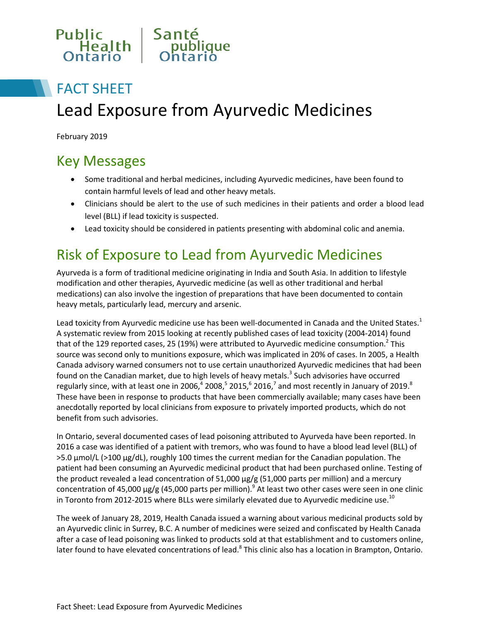

# FACT SHEET Lead Exposure from Ayurvedic Medicines

February 2019

# Key Messages

- Some traditional and herbal medicines, including Ayurvedic medicines, have been found to contain harmful levels of lead and other heavy metals.
- Clinicians should be alert to the use of such medicines in their patients and order a blood lead level (BLL) if lead toxicity is suspected.
- Lead toxicity should be considered in patients presenting with abdominal colic and anemia.

# Risk of Exposure to Lead from Ayurvedic Medicines

Ayurveda is a form of traditional medicine originating in India and South Asia. In addition to lifestyle modification and other therapies, Ayurvedic medicine (as well as other traditional and herbal medications) can also involve the ingestion of preparations that have been documented to contain heavy metals, particularly lead, mercury and arsenic.

Lead toxicity from Ayurvedic medicine use has been well-documented in Canada and the United States.<sup>1</sup> A systematic review from 2015 looking at recently published cases of lead toxicity (2004-2014) found that of the 129 reported cases, 25 (19%) were attributed to Ayurvedic medicine consumption.<sup>2</sup> This source was second only to munitions exposure, which was implicated in 20% of cases. In 2005, a Health Canada advisory warned consumers not to use certain unauthorized Ayurvedic medicines that had been found on the Canadian market, due to high levels of heavy metals.<sup>3</sup> Such advisories have occurred regularly since, with at least one in 2006,<sup>4</sup> 2008,<sup>5</sup> 2015,<sup>6</sup> 2016,<sup>7</sup> and most recently in January of 2019.<sup>8</sup> These have been in response to products that have been commercially available; many cases have been anecdotally reported by local clinicians from exposure to privately imported products, which do not benefit from such advisories.

In Ontario, several documented cases of lead poisoning attributed to Ayurveda have been reported. In 2016 a case was identified of a patient with tremors, who was found to have a blood lead level (BLL) of >5.0 µmol/L (>100 µg/dL), roughly 100 times the current median for the Canadian population. The patient had been consuming an Ayurvedic medicinal product that had been purchased online. Testing of the product revealed a lead concentration of  $51,000 \mu g/g$  (51,000 parts per million) and a mercury concentration of 45,000  $\mu$ g/g (45,000 parts per million).<sup>9</sup> At least two other cases were seen in one clinic in Toronto from 2012-2015 where BLLs were similarly elevated due to Ayurvedic medicine use.<sup>10</sup>

The week of January 28, 2019, Health Canada issued a warning about various medicinal products sold by an Ayurvedic clinic in Surrey, B.C. A number of medicines were seized and confiscated by Health Canada after a case of lead poisoning was linked to products sold at that establishment and to customers online, later found to have elevated concentrations of lead.<sup>8</sup> This clinic also has a location in Brampton, Ontario.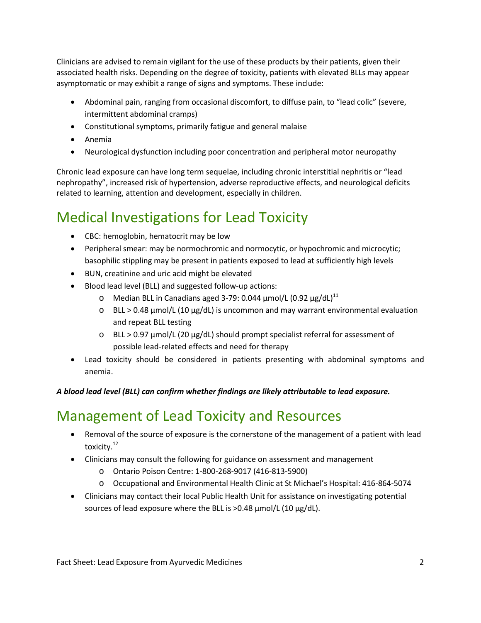Clinicians are advised to remain vigilant for the use of these products by their patients, given their associated health risks. Depending on the degree of toxicity, patients with elevated BLLs may appear asymptomatic or may exhibit a range of signs and symptoms. These include:

- Abdominal pain, ranging from occasional discomfort, to diffuse pain, to "lead colic" (severe, intermittent abdominal cramps)
- Constitutional symptoms, primarily fatigue and general malaise
- Anemia
- Neurological dysfunction including poor concentration and peripheral motor neuropathy

Chronic lead exposure can have long term sequelae, including chronic interstitial nephritis or "lead nephropathy", increased risk of hypertension, adverse reproductive effects, and neurological deficits related to learning, attention and development, especially in children.

# Medical Investigations for Lead Toxicity

- CBC: hemoglobin, hematocrit may be low
- Peripheral smear: may be normochromic and normocytic, or hypochromic and microcytic; basophilic stippling may be present in patients exposed to lead at sufficiently high levels
- BUN, creatinine and uric acid might be elevated
- Blood lead level (BLL) and suggested follow-up actions:
	- o Median BLL in Canadians aged 3-79: 0.044  $\mu$ mol/L (0.92  $\mu$ g/dL)<sup>11</sup>
	- $\circ$  BLL > 0.48 µmol/L (10 µg/dL) is uncommon and may warrant environmental evaluation and repeat BLL testing
	- $\circ$  BLL > 0.97 µmol/L (20 µg/dL) should prompt specialist referral for assessment of possible lead-related effects and need for therapy
- Lead toxicity should be considered in patients presenting with abdominal symptoms and anemia.

#### *A blood lead level (BLL) can confirm whether findings are likely attributable to lead exposure.*

# Management of Lead Toxicity and Resources

- Removal of the source of exposure is the cornerstone of the management of a patient with lead toxicity.<sup>12</sup>
- Clinicians may consult the following for guidance on assessment and management
	- o Ontario Poison Centre: 1-800-268-9017 (416-813-5900)
	- o Occupational and Environmental Health Clinic at St Michael's Hospital: 416-864-5074
- Clinicians may contact their local Public Health Unit for assistance on investigating potential sources of lead exposure where the BLL is >0.48  $\mu$ mol/L (10  $\mu$ g/dL).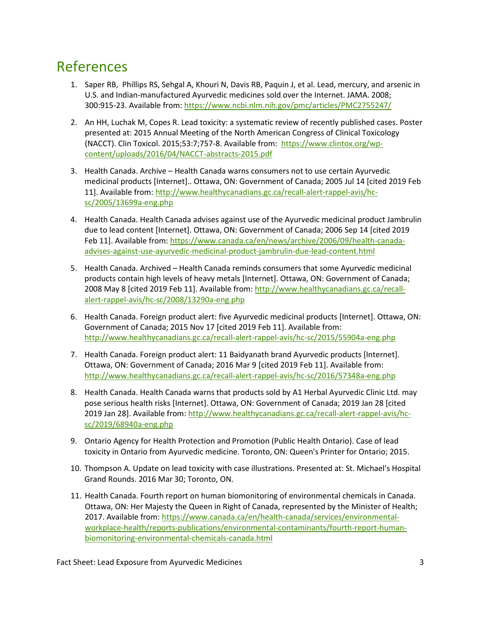# References

- 1. Saper RB, Phillips RS, Sehgal A, Khouri N, Davis RB, Paquin J, et al. Lead, mercury, and arsenic in U.S. and Indian-manufactured Ayurvedic medicines sold over the Internet. JAMA. 2008; 300:915-23. Available from[: https://www.ncbi.nlm.nih.gov/pmc/articles/PMC2755247/](https://www.ncbi.nlm.nih.gov/pmc/articles/PMC2755247/)
- 2. An HH, Luchak M, Copes R. Lead toxicity: a systematic review of recently published cases. Poster presented at: 2015 Annual Meeting of the North American Congress of Clinical Toxicology (NACCT). Clin Toxicol. 2015;53:7;757-8. Available from: [https://www.clintox.org/wp](https://www.clintox.org/wp-content/uploads/2016/04/NACCT-abstracts-2015.pdf)[content/uploads/2016/04/NACCT-abstracts-2015.pdf](https://www.clintox.org/wp-content/uploads/2016/04/NACCT-abstracts-2015.pdf)
- 3. Health Canada. Archive Health Canada warns consumers not to use certain Ayurvedic medicinal products [Internet].. Ottawa, ON: Government of Canada; 2005 Jul 14 [cited 2019 Feb 11]. Available from: [http://www.healthycanadians.gc.ca/recall-alert-rappel-avis/hc](http://www.healthycanadians.gc.ca/recall-alert-rappel-avis/hc-sc/2005/13699a-eng.php.)[sc/2005/13699a-eng.php](http://www.healthycanadians.gc.ca/recall-alert-rappel-avis/hc-sc/2005/13699a-eng.php.)
- 4. Health Canada. Health Canada advises against use of the Ayurvedic medicinal product Jambrulin due to lead content [Internet]. Ottawa, ON: Government of Canada; 2006 Sep 14 [cited 2019 Feb 11]. Available from[: https://www.canada.ca/en/news/archive/2006/09/health-canada](https://www.canada.ca/en/news/archive/2006/09/health-canada-advises-against-use-ayurvedic-medicinal-product-jambrulin-due-lead-content.html)[advises-against-use-ayurvedic-medicinal-product-jambrulin-due-lead-content.html](https://www.canada.ca/en/news/archive/2006/09/health-canada-advises-against-use-ayurvedic-medicinal-product-jambrulin-due-lead-content.html)
- 5. Health Canada. Archived Health Canada reminds consumers that some Ayurvedic medicinal products contain high levels of heavy metals [Internet]. Ottawa, ON: Government of Canada; 2008 May 8 [cited 2019 Feb 11]. Available from[: http://www.healthycanadians.gc.ca/recall](http://www.healthycanadians.gc.ca/recall-alert-rappel-avis/hc-sc/2008/13290a-eng.php.)[alert-rappel-avis/hc-sc/2008/13290a-eng.php](http://www.healthycanadians.gc.ca/recall-alert-rappel-avis/hc-sc/2008/13290a-eng.php.)
- 6. Health Canada. Foreign product alert: five Ayurvedic medicinal products [Internet]. Ottawa, ON: Government of Canada; 2015 Nov 17 [cited 2019 Feb 11]. Available from: <http://www.healthycanadians.gc.ca/recall-alert-rappel-avis/hc-sc/2015/55904a-eng.php>
- 7. Health Canada. Foreign product alert: 11 Baidyanath brand Ayurvedic products [Internet]. Ottawa, ON: Government of Canada; 2016 Mar 9 [cited 2019 Feb 11]. Available from: <http://www.healthycanadians.gc.ca/recall-alert-rappel-avis/hc-sc/2016/57348a-eng.php>
- 8. Health Canada. Health Canada warns that products sold by A1 Herbal Ayurvedic Clinic Ltd. may pose serious health risks [Internet]. Ottawa, ON: Government of Canada; 2019 Jan 28 [cited 2019 Jan 28]. Available from[: http://www.healthycanadians.gc.ca/recall-alert-rappel-avis/hc](http://www.healthycanadians.gc.ca/recall-alert-rappel-avis/hc-sc/2019/68940a-eng.php)[sc/2019/68940a-eng.php](http://www.healthycanadians.gc.ca/recall-alert-rappel-avis/hc-sc/2019/68940a-eng.php)
- 9. Ontario Agency for Health Protection and Promotion (Public Health Ontario). Case of lead toxicity in Ontario from Ayurvedic medicine. Toronto, ON: Queen's Printer for Ontario; 2015.
- 10. Thompson A. Update on lead toxicity with case illustrations. Presented at: St. Michael's Hospital Grand Rounds. 2016 Mar 30; Toronto, ON.
- 11. Health Canada. Fourth report on human biomonitoring of environmental chemicals in Canada. Ottawa, ON: Her Majesty the Queen in Right of Canada, represented by the Minister of Health; 2017. Available from: [https://www.canada.ca/en/health-canada/services/environmental](https://www.canada.ca/en/health-canada/services/environmental-workplace-health/reports-publications/environmental-contaminants/fourth-report-human-biomonitoring-environmental-chemicals-canada.html)[workplace-health/reports-publications/environmental-contaminants/fourth-report-human](https://www.canada.ca/en/health-canada/services/environmental-workplace-health/reports-publications/environmental-contaminants/fourth-report-human-biomonitoring-environmental-chemicals-canada.html)[biomonitoring-environmental-chemicals-canada.html](https://www.canada.ca/en/health-canada/services/environmental-workplace-health/reports-publications/environmental-contaminants/fourth-report-human-biomonitoring-environmental-chemicals-canada.html)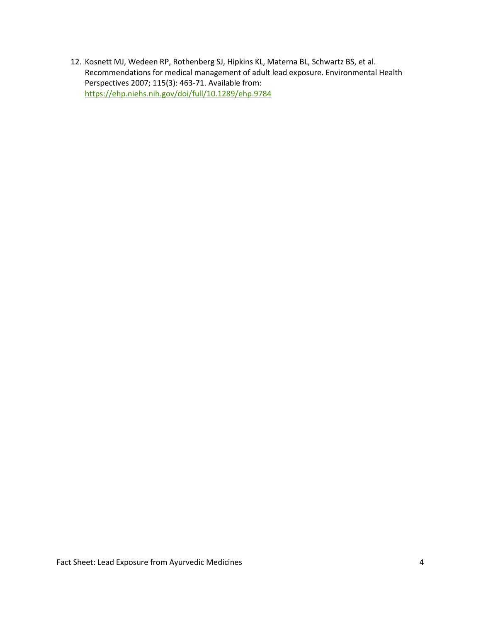12. Kosnett MJ, Wedeen RP, Rothenberg SJ, Hipkins KL, Materna BL, Schwartz BS, et al. Recommendations for medical management of adult lead exposure. Environmental Health Perspectives 2007; 115(3): 463-71. Available from: <https://ehp.niehs.nih.gov/doi/full/10.1289/ehp.9784>